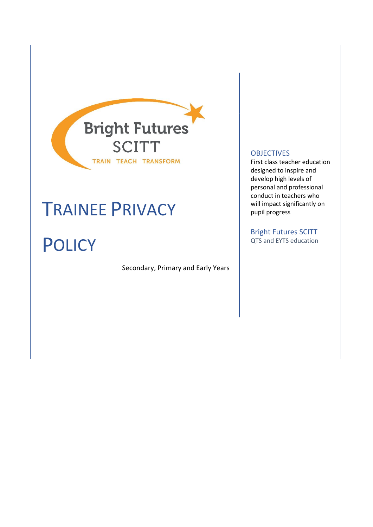

# TRAINEE PRIVACY

**POLICY** 

Secondary, Primary and Early Years

#### **OBJECTIVES**

First class teacher education designed to inspire and develop high levels of personal and professional conduct in teachers who will impact significantly on pupil progress

Bright Futures SCITT QTS and EYTS education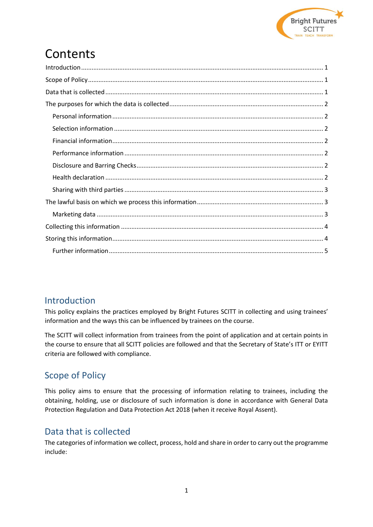

## **Contents**

## <span id="page-1-0"></span>Introduction

This policy explains the practices employed by Bright Futures SCITT in collecting and using trainees' information and the ways this can be influenced by trainees on the course.

The SCITT will collect information from trainees from the point of application and at certain points in the course to ensure that all SCITT policies are followed and that the Secretary of State's ITT or EYITT criteria are followed with compliance.

## <span id="page-1-1"></span>Scope of Policy

This policy aims to ensure that the processing of information relating to trainees, including the obtaining, holding, use or disclosure of such information is done in accordance with General Data Protection Regulation and Data Protection Act 2018 (when it receive Royal Assent).

## <span id="page-1-2"></span>Data that is collected

The categories of information we collect, process, hold and share in order to carry out the programme include: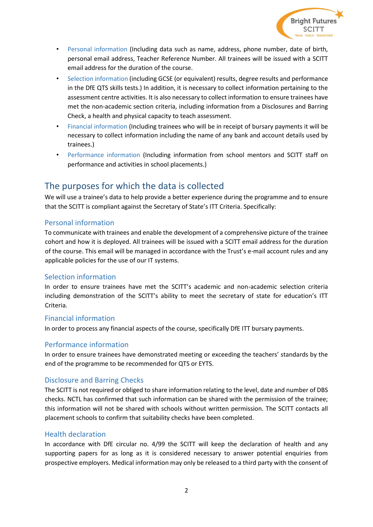

- Personal information (Including data such as name, address, phone number, date of birth, personal email address, Teacher Reference Number. All trainees will be issued with a SCITT email address for the duration of the course.
- Selection information (including GCSE (or equivalent) results, degree results and performance in the DfE QTS skills tests.) In addition, it is necessary to collect information pertaining to the assessment centre activities. It is also necessary to collect information to ensure trainees have met the non-academic section criteria, including information from a Disclosures and Barring Check, a health and physical capacity to teach assessment.
- Financial information (Including trainees who will be in receipt of bursary payments it will be necessary to collect information including the name of any bank and account details used by trainees.)
- Performance information (Including information from school mentors and SCITT staff on performance and activities in school placements.)

## <span id="page-2-0"></span>The purposes for which the data is collected

We will use a trainee's data to help provide a better experience during the programme and to ensure that the SCITT is compliant against the Secretary of State's ITT Criteria. Specifically:

#### <span id="page-2-1"></span>Personal information

To communicate with trainees and enable the development of a comprehensive picture of the trainee cohort and how it is deployed. All trainees will be issued with a SCITT email address for the duration of the course. This email will be managed in accordance with the Trust's e-mail account rules and any applicable policies for the use of our IT systems.

#### <span id="page-2-2"></span>Selection information

In order to ensure trainees have met the SCITT's academic and non-academic selection criteria including demonstration of the SCITT's ability to meet the secretary of state for education's ITT Criteria.

#### <span id="page-2-3"></span>Financial information

In order to process any financial aspects of the course, specifically DfE ITT bursary payments.

#### <span id="page-2-4"></span>Performance information

In order to ensure trainees have demonstrated meeting or exceeding the teachers' standards by the end of the programme to be recommended for QTS or EYTS.

#### <span id="page-2-5"></span>Disclosure and Barring Checks

The SCITT is not required or obliged to share information relating to the level, date and number of DBS checks. NCTL has confirmed that such information can be shared with the permission of the trainee; this information will not be shared with schools without written permission. The SCITT contacts all placement schools to confirm that suitability checks have been completed.

#### <span id="page-2-6"></span>Health declaration

In accordance with DfE circular no. 4/99 the SCITT will keep the declaration of health and any supporting papers for as long as it is considered necessary to answer potential enquiries from prospective employers. Medical information may only be released to a third party with the consent of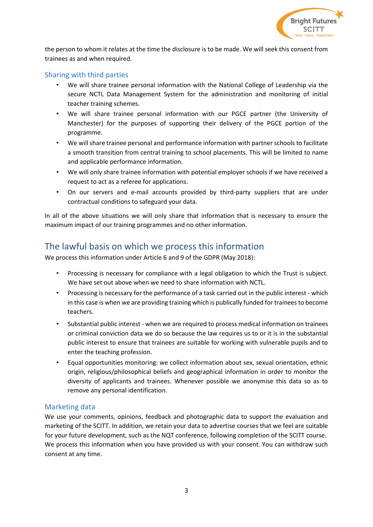

the person to whom it relates at the time the disclosure is to be made. We will seek this consent from trainees as and when required.

#### <span id="page-3-0"></span>Sharing with third parties

- We will share trainee personal information with the National College of Leadership via the secure NCTL Data Management System for the administration and monitoring of initial teacher training schemes.
- We will share trainee personal information with our PGCE partner (the University of Manchester) for the purposes of supporting their delivery of the PGCE portion of the programme.
- We will share trainee personal and performance information with partner schools to facilitate a smooth transition from central training to school placements. This will be limited to name and applicable performance information.
- We will only share trainee information with potential employer schools if we have received a request to act as a referee for applications.
- On our servers and e-mail accounts provided by third-party suppliers that are under contractual conditions to safeguard your data.

In all of the above situations we will only share that information that is necessary to ensure the maximum impact of our training programmes and no other information.

## <span id="page-3-1"></span>The lawful basis on which we process this information

We process this information under Article 6 and 9 of the GDPR (May 2018):

- Processing is necessary for compliance with a legal obligation to which the Trust is subject. We have set out above when we need to share information with NCTL.
- Processing is necessary for the performance of a task carried out in the public interest which in this case is when we are providing training which is publically funded for trainees to become teachers.
- Substantial public interest when we are required to process medical information on trainees or criminal conviction data we do so because the law requires us to or it is in the substantial public interest to ensure that trainees are suitable for working with vulnerable pupils and to enter the teaching profession.
- Equal opportunities monitoring: we collect information about sex, sexual orientation, ethnic origin, religious/philosophical beliefs and geographical information in order to monitor the diversity of applicants and trainees. Whenever possible we anonymise this data so as to remove any personal identification.

#### <span id="page-3-2"></span>Marketing data

We use your comments, opinions, feedback and photographic data to support the evaluation and marketing of the SCITT. In addition, we retain your data to advertise courses that we feel are suitable for your future development, such as the NQT conference, following completion of the SCITT course. We process this information when you have provided us with your consent. You can withdraw such consent at any time.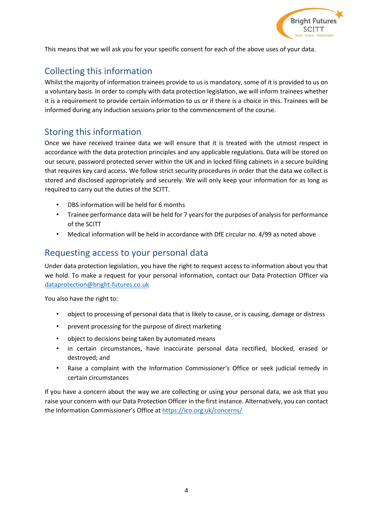

This means that we will ask you for your specific consent for each of the above uses of your data.

## <span id="page-4-0"></span>Collecting this information

Whilst the majority of information trainees provide to us is mandatory, some of it is provided to us on a voluntary basis. In order to comply with data protection legislation, we will inform trainees whether it is a requirement to provide certain information to us or if there is a choice in this. Trainees will be informed during any induction sessions prior to the commencement of the course.

## <span id="page-4-1"></span>Storing this information

Once we have received trainee data we will ensure that it is treated with the utmost respect in accordance with the data protection principles and any applicable regulations. Data will be stored on our secure, password protected server within the UK and in locked filing cabinets in a secure building that requires key card access. We follow strict security procedures in order that the data we collect is stored and disclosed appropriately and securely. We will only keep your information for as long as required to carry out the duties of the SCITT.

- DBS information will be held for 6 months
- Trainee performance data will be held for 7 years for the purposes of analysis for performance of the SCITT
- Medical information will be held in accordance with DfE circular no. 4/99 as noted above

## Requesting access to your personal data

Under data protection legislation, you have the right to request access to information about you that we hold. To make a request for your personal information, contact our Data Protection Officer via dataprotection@bright-futures.co.uk

You also have the right to:

- object to processing of personal data that is likely to cause, or is causing, damage or distress
- prevent processing for the purpose of direct marketing
- object to decisions being taken by automated means
- in certain circumstances, have inaccurate personal data rectified, blocked, erased or destroyed; and
- Raise a complaint with the Information Commissioner's Office or seek judicial remedy in certain circumstances

<span id="page-4-2"></span>If you have a concern about the way we are collecting or using your personal data, we ask that you raise your concern with our Data Protection Officer in the first instance. Alternatively, you can contact the Information Commissioner's Office at <https://ico.org.uk/concerns/>